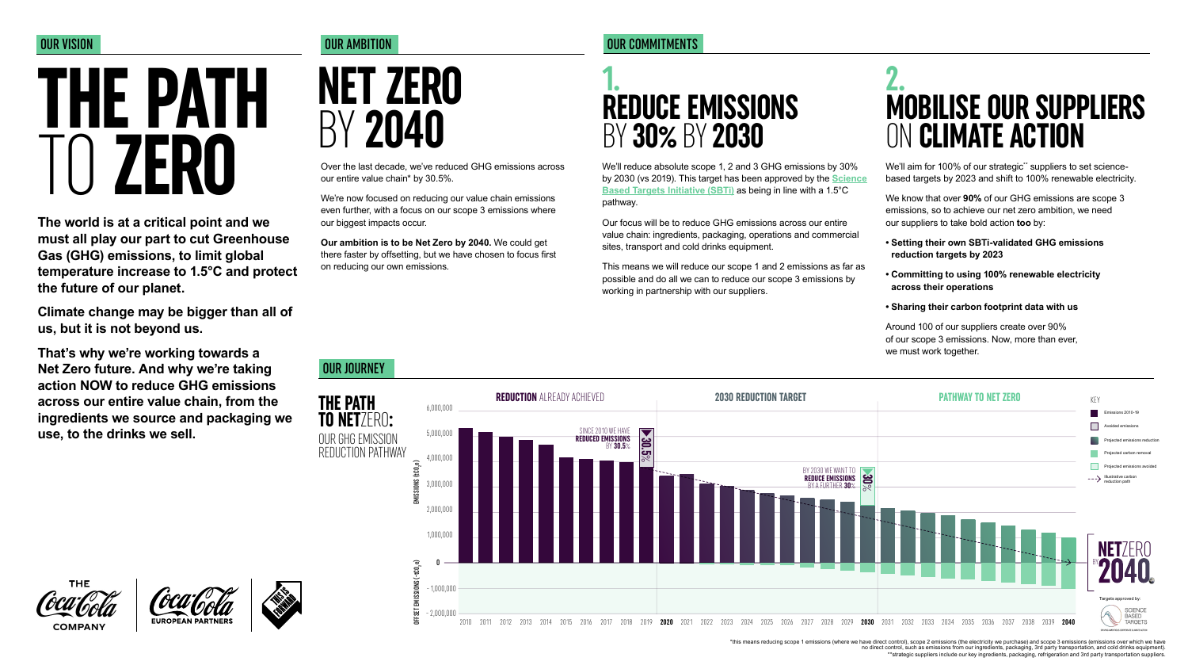Over the last decade, we've reduced GHG emissions across our entire value chain\* by 30.5%.

We're now focused on reducing our value chain emissions even further, with a focus on our scope 3 emissions where our biggest impacts occur.

**Our ambition is to be Net Zero by 2040.** We could get there faster by offsetting, but we have chosen to focus first on reducing our own emissions.

**The world is at a critical point and we must all play our part to cut Greenhouse Gas (GHG) emissions, to limit global temperature increase to 1.5°C and protect the future of our planet.**

**Climate change may be bigger than all of us, but it is not beyond us.**

**That's why we're working towards a Net Zero future. And why we're taking action NOW to reduce GHG emissions across our entire value chain, from the ingredients we source and packaging we use, to the drinks we sell.**

#### OUR VISION NEWSLET AND RELEASED OUR AMBITION

**NET ZERO** 

# BY**<sup>2040</sup> THE PATH**  TO **ZERO**

#### OUR JOURNEY

**THE PATH** 

**THE COMPANY** 





We'll aim for 100% of our strategic\* suppliers to set sciencebased targets by 2023 and shift to 100% renewable electricity.

\*this means reducing scope 1 emissions (where we have direct control), scope 2 emissions (the electricity we purchase) and scope 3 emissions (emissions over which we have no direct control, such as emissions from our ingredients, packaging, 3rd party transportation, and cold drinks equipment). \*\*strategic suppliers include our key ingredients, packaging, refrigeration and 3rd party transportation suppliers.

#### OUR COMMITMENTS

We'll reduce absolute scope 1, 2 and 3 GHG emissions by 30% by 2030 (vs 2019). This target has been approved by the **[Science](https://sciencebasedtargets.org) [Based Targets Initiative \(SBTi\)](https://sciencebasedtargets.org)** as being in line with a 1.5°C pathway.

Our focus will be to reduce GHG emissions across our entire value chain: ingredients, packaging, operations and commercial sites, transport and cold drinks equipment.

This means we will reduce our scope 1 and 2 emissions as far as possible and do all we can to reduce our scope 3 emissions by working in partnership with our suppliers.

We know that over **90%** of our GHG emissions are scope 3 emissions, so to achieve our net zero ambition, we need our suppliers to take bold action **too** by:

- **Setting their own SBTi-validated GHG emissions reduction targets by 2023**
- **Committing to using 100% renewable electricity across their operations**

#### **• Sharing their carbon footprint data with us**

Around 100 of our suppliers create over 90% of our scope 3 emissions. Now, more than ever, we must work together.

## **1. REDUCE EMISSIONS**  BY **30%** BY **2030**

## **2. MOBILISE OUR SUPPLIERS**  ON **CLIMATE ACTION**